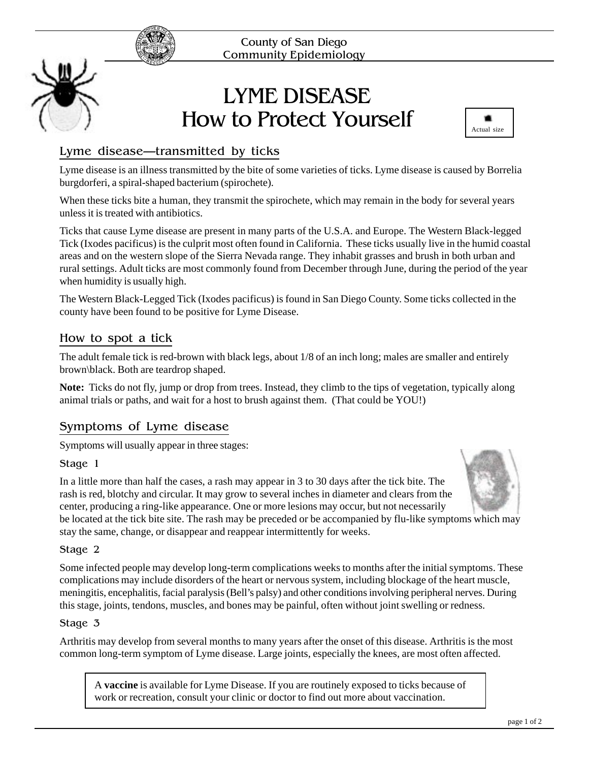

# LYME DISEASE How to Protect Yourself



# Lyme disease—transmitted by ticks

Lyme disease is an illness transmitted by the bite of some varieties of ticks. Lyme disease is caused by Borrelia burgdorferi, a spiral-shaped bacterium (spirochete).

When these ticks bite a human, they transmit the spirochete, which may remain in the body for several years unless it is treated with antibiotics.

Ticks that cause Lyme disease are present in many parts of the U.S.A. and Europe. The Western Black-legged Tick (Ixodes pacificus) is the culprit most often found in California. These ticks usually live in the humid coastal areas and on the western slope of the Sierra Nevada range. They inhabit grasses and brush in both urban and rural settings. Adult ticks are most commonly found from December through June, during the period of the year when humidity is usually high.

The Western Black-Legged Tick (Ixodes pacificus) is found in San Diego County. Some ticks collected in the county have been found to be positive for Lyme Disease.

# How to spot a tick

The adult female tick is red-brown with black legs, about 1/8 of an inch long; males are smaller and entirely brown\black. Both are teardrop shaped.

**Note:** Ticks do not fly, jump or drop from trees. Instead, they climb to the tips of vegetation, typically along animal trials or paths, and wait for a host to brush against them. (That could be YOU!)

# Symptoms of Lyme disease

Symptoms will usually appear in three stages:

Stage 1



In a little more than half the cases, a rash may appear in 3 to 30 days after the tick bite. The rash is red, blotchy and circular. It may grow to several inches in diameter and clears from the center, producing a ring-like appearance. One or more lesions may occur, but not necessarily be located at the tick bite site. The rash may be preceded or be accompanied by flu-like symptoms which may stay the same, change, or disappear and reappear intermittently for weeks.

### Stage 2

Some infected people may develop long-term complications weeks to months after the initial symptoms. These complications may include disorders of the heart or nervous system, including blockage of the heart muscle, meningitis, encephalitis, facial paralysis (Bell's palsy) and other conditions involving peripheral nerves. During this stage, joints, tendons, muscles, and bones may be painful, often without joint swelling or redness.

### Stage 3

Arthritis may develop from several months to many years after the onset of this disease. Arthritis is the most common long-term symptom of Lyme disease. Large joints, especially the knees, are most often affected.

A **vaccine** is available for Lyme Disease. If you are routinely exposed to ticks because of work or recreation, consult your clinic or doctor to find out more about vaccination.